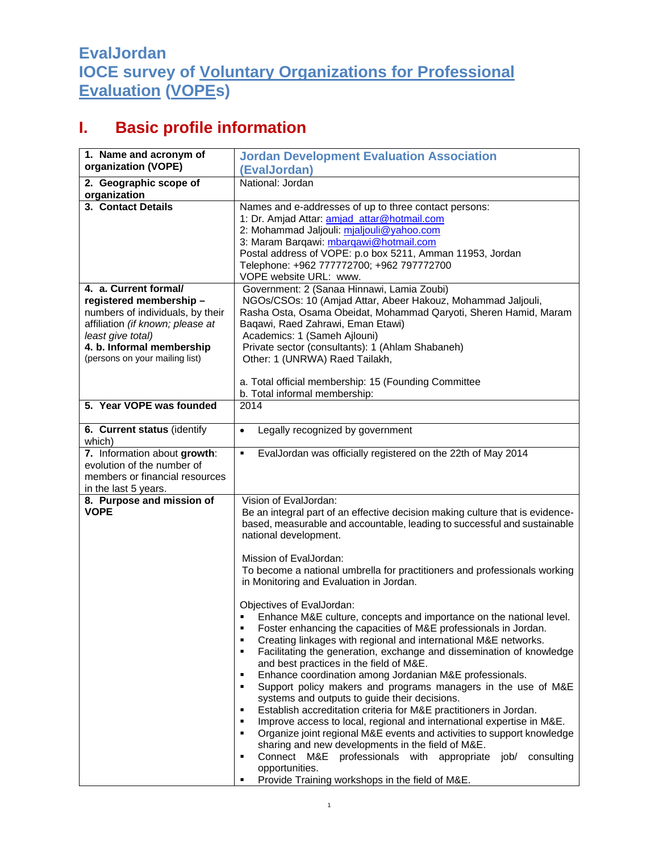## **EvalJordan IOCE survey of Voluntary Organizations for Professional Evaluation (VOPEs)**

## **I. Basic profile information**

| 1. Name and acronym of                            | <b>Jordan Development Evaluation Association</b>                                                        |
|---------------------------------------------------|---------------------------------------------------------------------------------------------------------|
| organization (VOPE)                               | (EvalJordan)                                                                                            |
| 2. Geographic scope of                            | National: Jordan                                                                                        |
| organization                                      |                                                                                                         |
| 3. Contact Details                                | Names and e-addresses of up to three contact persons:                                                   |
|                                                   | 1: Dr. Amjad Attar: amjad_attar@hotmail.com                                                             |
|                                                   | 2: Mohammad Jaljouli: mjaljouli@yahoo.com                                                               |
|                                                   | 3: Maram Barqawi: mbarqawi@hotmail.com                                                                  |
|                                                   | Postal address of VOPE: p.o box 5211, Amman 11953, Jordan                                               |
|                                                   | Telephone: +962 777772700; +962 797772700                                                               |
| 4. a. Current formal/                             | VOPE website URL: www.<br>Government: 2 (Sanaa Hinnawi, Lamia Zoubi)                                    |
| registered membership -                           | NGOs/CSOs: 10 (Amjad Attar, Abeer Hakouz, Mohammad Jaljouli,                                            |
| numbers of individuals, by their                  | Rasha Osta, Osama Obeidat, Mohammad Qaryoti, Sheren Hamid, Maram                                        |
| affiliation (if known; please at                  | Baqawi, Raed Zahrawi, Eman Etawi)                                                                       |
| least give total)                                 | Academics: 1 (Sameh Ajlouni)                                                                            |
| 4. b. Informal membership                         | Private sector (consultants): 1 (Ahlam Shabaneh)                                                        |
| (persons on your mailing list)                    | Other: 1 (UNRWA) Raed Tailakh,                                                                          |
|                                                   |                                                                                                         |
|                                                   | a. Total official membership: 15 (Founding Committee                                                    |
|                                                   | b. Total informal membership:                                                                           |
| 5. Year VOPE was founded                          | 2014                                                                                                    |
|                                                   |                                                                                                         |
| 6. Current status (identify                       | Legally recognized by government<br>$\bullet$                                                           |
| which)                                            |                                                                                                         |
| 7. Information about growth:                      | EvalJordan was officially registered on the 22th of May 2014<br>٠                                       |
| evolution of the number of                        |                                                                                                         |
| members or financial resources                    |                                                                                                         |
| in the last 5 years.<br>8. Purpose and mission of | Vision of EvalJordan:                                                                                   |
| <b>VOPE</b>                                       | Be an integral part of an effective decision making culture that is evidence-                           |
|                                                   | based, measurable and accountable, leading to successful and sustainable                                |
|                                                   | national development.                                                                                   |
|                                                   |                                                                                                         |
|                                                   | Mission of EvalJordan:                                                                                  |
|                                                   | To become a national umbrella for practitioners and professionals working                               |
|                                                   | in Monitoring and Evaluation in Jordan.                                                                 |
|                                                   |                                                                                                         |
|                                                   | Objectives of EvalJordan:                                                                               |
|                                                   | Enhance M&E culture, concepts and importance on the national level.                                     |
|                                                   | Foster enhancing the capacities of M&E professionals in Jordan.                                         |
|                                                   | Creating linkages with regional and international M&E networks.<br>٠                                    |
|                                                   | Facilitating the generation, exchange and dissemination of knowledge<br>٠                               |
|                                                   | and best practices in the field of M&E.<br>Enhance coordination among Jordanian M&E professionals.<br>٠ |
|                                                   | Support policy makers and programs managers in the use of M&E<br>٠                                      |
|                                                   | systems and outputs to guide their decisions.                                                           |
|                                                   | Establish accreditation criteria for M&E practitioners in Jordan.<br>٠                                  |
|                                                   | Improve access to local, regional and international expertise in M&E.<br>٠                              |
|                                                   | Organize joint regional M&E events and activities to support knowledge<br>٠                             |
|                                                   | sharing and new developments in the field of M&E.                                                       |
|                                                   | Connect M&E professionals with appropriate job/<br>consulting<br>٠                                      |
|                                                   | opportunities.                                                                                          |
|                                                   | Provide Training workshops in the field of M&E.<br>٠                                                    |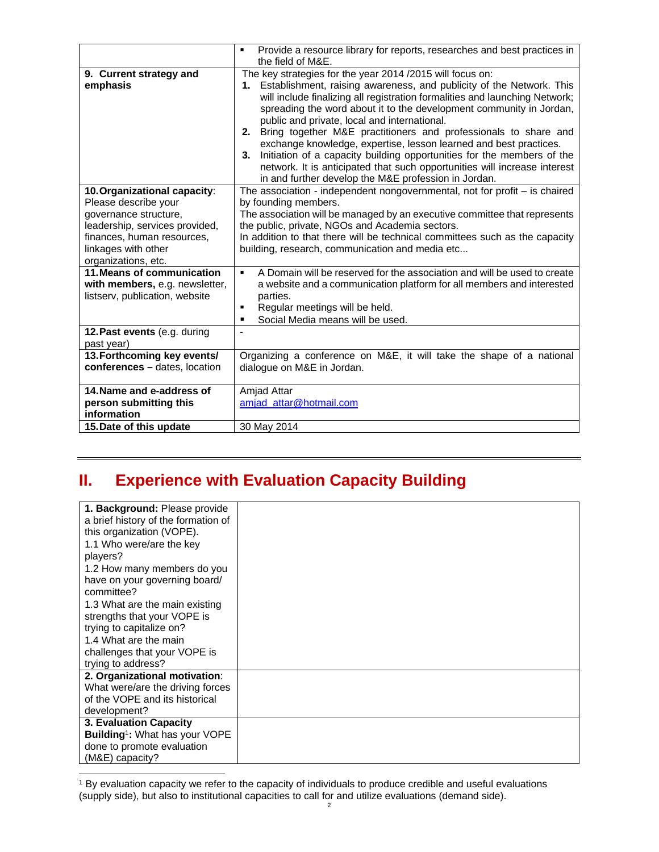|                                                                                                                                                                                             | Provide a resource library for reports, researches and best practices in<br>$\blacksquare$<br>the field of M&E.                                                                                                                                                                                                                                                                                                                                                                                                                                                                                                                                                                                         |
|---------------------------------------------------------------------------------------------------------------------------------------------------------------------------------------------|---------------------------------------------------------------------------------------------------------------------------------------------------------------------------------------------------------------------------------------------------------------------------------------------------------------------------------------------------------------------------------------------------------------------------------------------------------------------------------------------------------------------------------------------------------------------------------------------------------------------------------------------------------------------------------------------------------|
| 9. Current strategy and<br>emphasis                                                                                                                                                         | The key strategies for the year 2014 /2015 will focus on:<br>1. Establishment, raising awareness, and publicity of the Network. This<br>will include finalizing all registration formalities and launching Network;<br>spreading the word about it to the development community in Jordan,<br>public and private, local and international.<br>2. Bring together M&E practitioners and professionals to share and<br>exchange knowledge, expertise, lesson learned and best practices.<br>3. Initiation of a capacity building opportunities for the members of the<br>network. It is anticipated that such opportunities will increase interest<br>in and further develop the M&E profession in Jordan. |
| 10. Organizational capacity:<br>Please describe your<br>governance structure,<br>leadership, services provided,<br>finances, human resources,<br>linkages with other<br>organizations, etc. | The association - independent nongovernmental, not for profit $-$ is chaired<br>by founding members.<br>The association will be managed by an executive committee that represents<br>the public, private, NGOs and Academia sectors.<br>In addition to that there will be technical committees such as the capacity<br>building, research, communication and media etc                                                                                                                                                                                                                                                                                                                                  |
| 11. Means of communication<br>with members, e.g. newsletter,<br>listserv, publication, website                                                                                              | A Domain will be reserved for the association and will be used to create<br>$\blacksquare$<br>a website and a communication platform for all members and interested<br>parties.<br>Regular meetings will be held.<br>٠<br>Social Media means will be used.<br>$\blacksquare$                                                                                                                                                                                                                                                                                                                                                                                                                            |
| 12. Past events (e.g. during<br>past year)                                                                                                                                                  |                                                                                                                                                                                                                                                                                                                                                                                                                                                                                                                                                                                                                                                                                                         |
| 13. Forthcoming key events/<br>conferences - dates, location                                                                                                                                | Organizing a conference on M&E, it will take the shape of a national<br>dialogue on M&E in Jordan.                                                                                                                                                                                                                                                                                                                                                                                                                                                                                                                                                                                                      |
| 14. Name and e-address of<br>person submitting this<br>information                                                                                                                          | <b>Amjad Attar</b><br>amjad_attar@hotmail.com                                                                                                                                                                                                                                                                                                                                                                                                                                                                                                                                                                                                                                                           |
| 15. Date of this update                                                                                                                                                                     | 30 May 2014                                                                                                                                                                                                                                                                                                                                                                                                                                                                                                                                                                                                                                                                                             |

## **II. Experience with Evaluation Capacity Building**

| 1. Background: Please provide              |  |
|--------------------------------------------|--|
| a brief history of the formation of        |  |
| this organization (VOPE).                  |  |
| 1.1 Who were/are the key                   |  |
| players?                                   |  |
| 1.2 How many members do you                |  |
| have on your governing board/              |  |
| committee?                                 |  |
| 1.3 What are the main existing             |  |
| strengths that your VOPE is                |  |
| trying to capitalize on?                   |  |
| 1.4 What are the main                      |  |
| challenges that your VOPE is               |  |
| trying to address?                         |  |
| 2. Organizational motivation:              |  |
| What were/are the driving forces           |  |
| of the VOPE and its historical             |  |
| development?                               |  |
| 3. Evaluation Capacity                     |  |
| Building <sup>1</sup> : What has your VOPE |  |
| done to promote evaluation                 |  |
| (M&E) capacity?                            |  |

 $\overline{a}$ <sup>1</sup> By evaluation capacity we refer to the capacity of individuals to produce credible and useful evaluations (supply side), but also to institutional capacities to call for and utilize evaluations (demand side).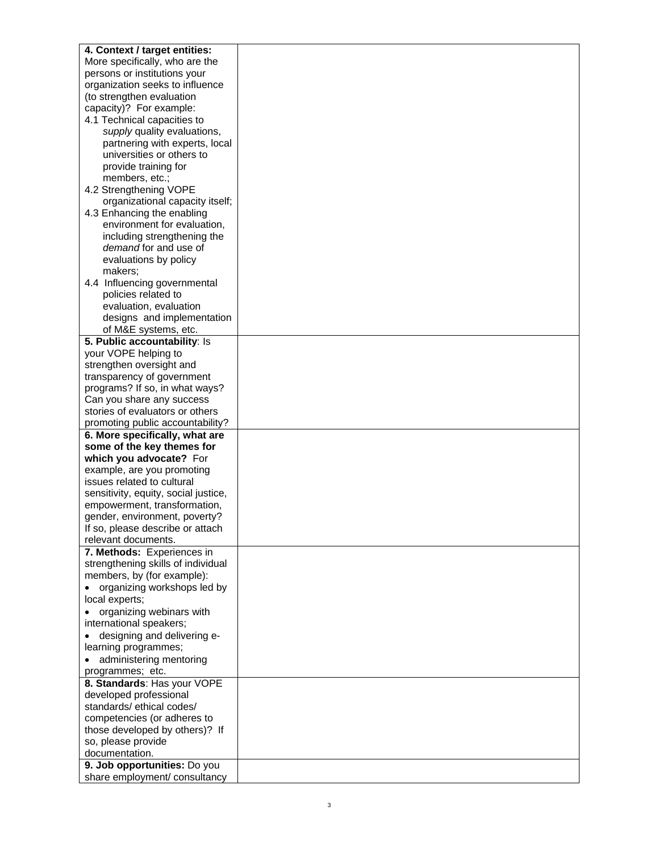| 4. Context / target entities:                                      |  |
|--------------------------------------------------------------------|--|
| More specifically, who are the                                     |  |
| persons or institutions your                                       |  |
| organization seeks to influence                                    |  |
| (to strengthen evaluation                                          |  |
| capacity)? For example:                                            |  |
| 4.1 Technical capacities to                                        |  |
| supply quality evaluations,                                        |  |
| partnering with experts, local                                     |  |
| universities or others to                                          |  |
| provide training for                                               |  |
| members, etc.;                                                     |  |
| 4.2 Strengthening VOPE                                             |  |
| organizational capacity itself;                                    |  |
| 4.3 Enhancing the enabling                                         |  |
| environment for evaluation,                                        |  |
| including strengthening the                                        |  |
| demand for and use of                                              |  |
| evaluations by policy                                              |  |
| makers;                                                            |  |
| 4.4 Influencing governmental                                       |  |
| policies related to                                                |  |
| evaluation, evaluation                                             |  |
| designs and implementation                                         |  |
| of M&E systems, etc.                                               |  |
| 5. Public accountability: Is                                       |  |
| your VOPE helping to                                               |  |
| strengthen oversight and                                           |  |
| transparency of government                                         |  |
| programs? If so, in what ways?                                     |  |
| Can you share any success                                          |  |
| stories of evaluators or others                                    |  |
| promoting public accountability?                                   |  |
| 6. More specifically, what are                                     |  |
| some of the key themes for                                         |  |
| which you advocate? For                                            |  |
| example, are you promoting                                         |  |
| issues related to cultural<br>sensitivity, equity, social justice, |  |
| empowerment, transformation,                                       |  |
| gender, environment, poverty?                                      |  |
| If so, please describe or attach                                   |  |
| relevant documents.                                                |  |
| 7. Methods: Experiences in                                         |  |
| strengthening skills of individual                                 |  |
| members, by (for example):                                         |  |
| organizing workshops led by                                        |  |
| local experts;                                                     |  |
| • organizing webinars with                                         |  |
| international speakers;                                            |  |
| designing and delivering e-                                        |  |
| learning programmes;                                               |  |
| administering mentoring                                            |  |
| programmes; etc.                                                   |  |
| 8. Standards: Has your VOPE                                        |  |
| developed professional                                             |  |
| standards/ethical codes/                                           |  |
| competencies (or adheres to                                        |  |
| those developed by others)? If                                     |  |
| so, please provide                                                 |  |
| documentation.                                                     |  |
| 9. Job opportunities: Do you                                       |  |
| share employment/ consultancy                                      |  |